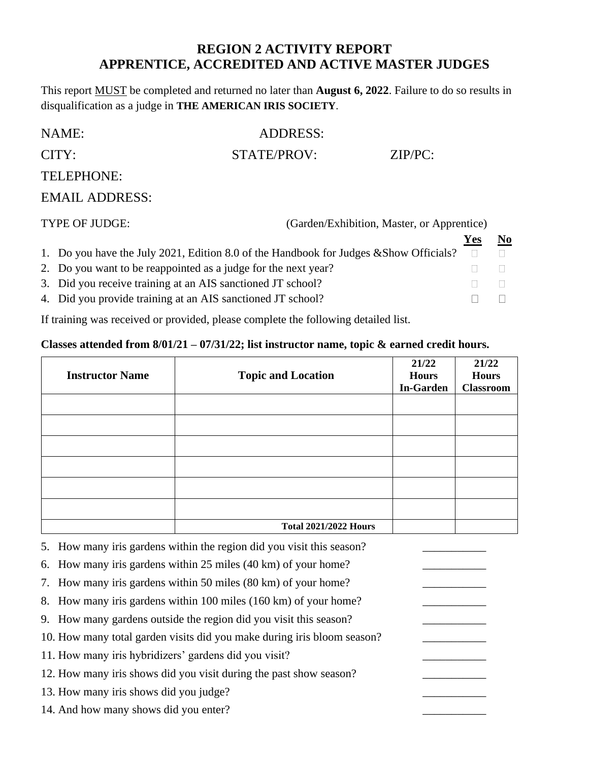## **REGION 2 ACTIVITY REPORT APPRENTICE, ACCREDITED AND ACTIVE MASTER JUDGES**

This report MUST be completed and returned no later than **August 6, 2022**. Failure to do so results in disqualification as a judge in **THE AMERICAN IRIS SOCIETY**.

| NAME:                 | ADDRESS:    |            |
|-----------------------|-------------|------------|
| CITY:                 | STATE/PROV: | $ZIP/PC$ : |
| TELEPHONE:            |             |            |
| <b>EMAIL ADDRESS:</b> |             |            |

| TYPE OF JUDGE:<br>(Garden/Exhibition, Master, or Apprentice)                                     |     |    |
|--------------------------------------------------------------------------------------------------|-----|----|
|                                                                                                  | Yes | No |
| 1. Do you have the July 2021, Edition 8.0 of the Handbook for Judges & Show Officials? $\square$ |     |    |
| 2. Do you want to be reappointed as a judge for the next year?                                   |     |    |
| 3. Did you receive training at an AIS sanctioned JT school?                                      |     |    |
| 4. Did you provide training at an AIS sanctioned JT school?                                      |     |    |

If training was received or provided, please complete the following detailed list.

## **Classes attended from 8/01/21 – 07/31/22; list instructor name, topic & earned credit hours.**

| <b>Instructor Name</b> | <b>Topic and Location</b>    | 21/22<br><b>Hours</b><br><b>In-Garden</b> | 21/22<br><b>Hours</b><br><b>Classroom</b> |
|------------------------|------------------------------|-------------------------------------------|-------------------------------------------|
|                        |                              |                                           |                                           |
|                        |                              |                                           |                                           |
|                        |                              |                                           |                                           |
|                        |                              |                                           |                                           |
|                        |                              |                                           |                                           |
|                        |                              |                                           |                                           |
|                        | <b>Total 2021/2022 Hours</b> |                                           |                                           |

5. How many iris gardens within the region did you visit this season?

6. How many iris gardens within  $25$  miles (40 km) of your home?

7. How many iris gardens within 50 miles (80 km) of your home?

8. How many iris gardens within 100 miles (160 km) of your home?

9. How many gardens outside the region did you visit this season?

10. How many total garden visits did you make during iris bloom season?

11. How many iris hybridizers' gardens did you visit?

12. How many iris shows did you visit during the past show season?

13. How many iris shows did you judge?

14. And how many shows did you enter?